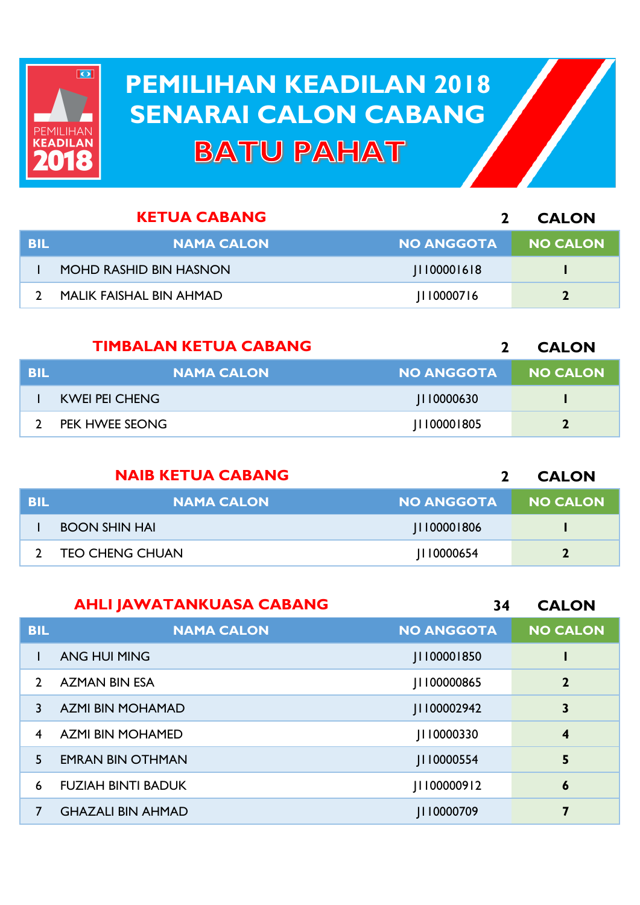

## **PEMILIHAN KEADILAN 2018 PEMILIHAN KEADILAN 2018 SENARAI CALON CABANG SENARAI CALON CABANGBATU PAHAT**

|     | <b>KETUA CABANG</b>            |                   | <b>CALON</b>    |
|-----|--------------------------------|-------------------|-----------------|
| BIL | <b>NAMA CALON</b>              | <b>NO ANGGOTA</b> | <b>NO CALON</b> |
|     | <b>MOHD RASHID BIN HASNON</b>  | 1100001618        |                 |
|     | <b>MALIK FAISHAL BIN AHMAD</b> | 110000716         |                 |

|            | <b>TIMBALAN KETUA CABANG</b> |                   | <b>CALON</b>    |
|------------|------------------------------|-------------------|-----------------|
| <b>BIL</b> | <b>NAMA CALON</b>            | <b>NO ANGGOTA</b> | <b>NO CALON</b> |
|            | <b>KWEI PEI CHENG</b>        | 110000630         |                 |
|            | PEK HWEE SEONG               | 0000   805        | 7               |

|            | <b>NAIB KETUA CABANG</b> |                   | <b>CALON</b>    |
|------------|--------------------------|-------------------|-----------------|
| <b>BIL</b> | <b>NAMA CALON</b>        | <b>NO ANGGOTA</b> | <b>NO CALON</b> |
|            | <b>BOON SHIN HAI</b>     | 0000   806        |                 |
|            | <b>TEO CHENG CHUAN</b>   | 0000654           | $\mathbf{2}$    |

|               | <b>AHLI JAWATANKUASA CABANG</b> | 34                 | <b>CALON</b>            |
|---------------|---------------------------------|--------------------|-------------------------|
| <b>BIL</b>    | <b>NAMA CALON</b>               | <b>NO ANGGOTA</b>  | <b>NO CALON</b>         |
|               | <b>ANG HUI MING</b>             | <b>III00001850</b> |                         |
| $\mathcal{P}$ | <b>AZMAN BIN ESA</b>            | 00000865           | $\overline{2}$          |
| 3.            | <b>AZMI BIN MOHAMAD</b>         | 100002942          | 3                       |
| 4             | <b>AZMI BIN MOHAMED</b>         | JI10000330         | $\overline{\mathbf{4}}$ |
| 5.            | <b>EMRAN BIN OTHMAN</b>         | 0000554            | 5                       |
| 6             | <b>FUZIAH BINTI BADUK</b>       | 000009   2         | $\boldsymbol{6}$        |
|               | <b>GHAZALI BIN AHMAD</b>        | 0000709            | 7                       |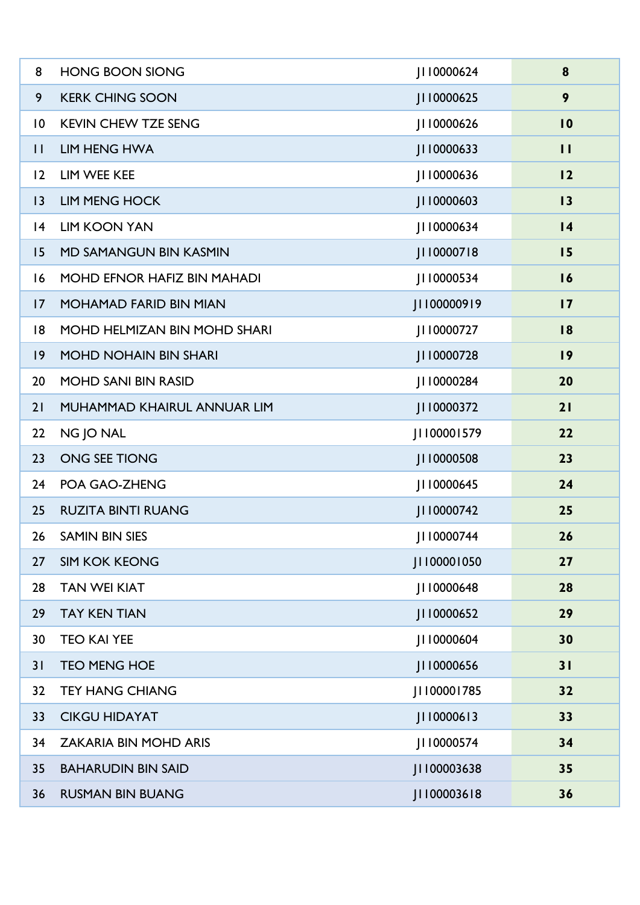| 8               | <b>HONG BOON SIONG</b>        | 0000624     | 8               |
|-----------------|-------------------------------|-------------|-----------------|
| 9               | <b>KERK CHING SOON</b>        | J110000625  | 9               |
| $\overline{10}$ | <b>KEVIN CHEW TZE SENG</b>    | J110000626  | $\overline{10}$ |
| $\mathbf{H}$    | <b>LIM HENG HWA</b>           | J110000633  | П               |
| 12              | LIM WEE KEE                   | JI10000636  | 12              |
| 3               | <b>LIM MENG HOCK</b>          | J110000603  | 13              |
| 4               | <b>LIM KOON YAN</b>           | JI 10000634 | $\overline{14}$ |
| 15              | <b>MD SAMANGUN BIN KASMIN</b> | J110000718  | 15              |
| 16              | MOHD EFNOR HAFIZ BIN MAHADI   | JI 10000534 | 16              |
| 17              | <b>MOHAMAD FARID BIN MIAN</b> | J1100000919 | $\overline{17}$ |
| 8               | MOHD HELMIZAN BIN MOHD SHARI  | J110000727  | 18              |
| $ 9\rangle$     | <b>MOHD NOHAIN BIN SHARI</b>  | J110000728  | 19              |
| 20              | <b>MOHD SANI BIN RASID</b>    | JI 10000284 | 20              |
| 21              | MUHAMMAD KHAIRUL ANNUAR LIM   | J110000372  | 21              |
| 22              | NG JO NAL                     | J1100001579 | 22              |
| 23              | ONG SEE TIONG                 | J110000508  | 23              |
| 24              | POA GAO-ZHENG                 | JI 10000645 | 24              |
| 25              | <b>RUZITA BINTI RUANG</b>     | JI 10000742 | 25              |
| 26              | <b>SAMIN BIN SIES</b>         | JI 10000744 | 26              |
| 27              | <b>SIM KOK KEONG</b>          | JI100001050 | 27              |
| 28              | <b>TAN WEI KIAT</b>           | JI 10000648 | 28              |
| 29              | <b>TAY KEN TIAN</b>           | J110000652  | 29              |
| 30              | <b>TEO KAI YEE</b>            | JI 10000604 | 30              |
| 31              | <b>TEO MENG HOE</b>           | J110000656  | 31              |
| 32              | <b>TEY HANG CHIANG</b>        | JI100001785 | 32              |
| 33              | <b>CIKGU HIDAYAT</b>          | JI10000613  | 33              |
| 34              | <b>ZAKARIA BIN MOHD ARIS</b>  | JI 10000574 | 34              |
| 35              | <b>BAHARUDIN BIN SAID</b>     | JI100003638 | 35              |
| 36              | <b>RUSMAN BIN BUANG</b>       | JI100003618 | 36              |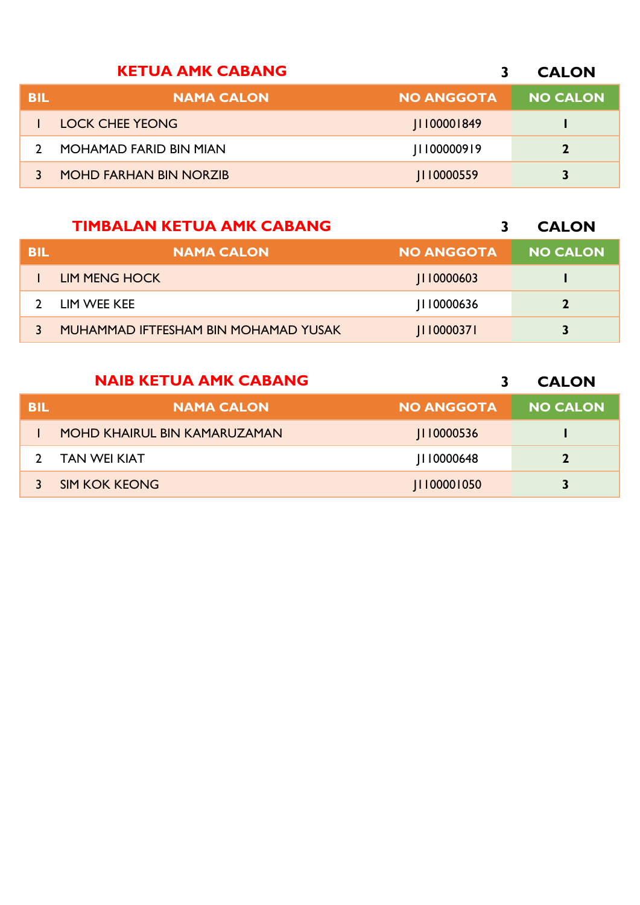|            | <b>KETUA AMK CABANG</b>       |                   | <b>CALON</b>    |
|------------|-------------------------------|-------------------|-----------------|
| <b>BIL</b> | <b>NAMA CALON</b>             | <b>NO ANGGOTA</b> | <b>NO CALON</b> |
|            | <b>LOCK CHEE YEONG</b>        | 0000   849        |                 |
|            | <b>MOHAMAD FARID BIN MIAN</b> | 00000919          | $\mathbf{z}$    |
|            | <b>MOHD FARHAN BIN NORZIB</b> | JI10000559        |                 |

## **TIMBALAN KETUA AMK CABANG**

**CALON**

| BIL | <b>NAMA CALON</b>                    | <b>NO ANGGOTA</b> | <b>NO CALON</b> |
|-----|--------------------------------------|-------------------|-----------------|
|     | LIM MENG HOCK                        | 110000603         |                 |
|     | LIM WEE KEE                          | 110000636         | 7               |
|     | MUHAMMAD IFTFESHAM BIN MOHAMAD YUSAK | 110000371         | 3               |

## **NAIB KETUA AMK CABANG**

**CALON**

| BIL | <b>NAMA CALON</b>            | <b>NO ANGGOTA</b> | <b>NO CALON</b> |
|-----|------------------------------|-------------------|-----------------|
|     | MOHD KHAIRUL BIN KAMARUZAMAN | 110000536         |                 |
|     | <b>TAN WEI KIAT</b>          | 110000648         | $\mathbf{2}$    |
|     | <b>SIM KOK KEONG</b>         | 1100001050        | 3               |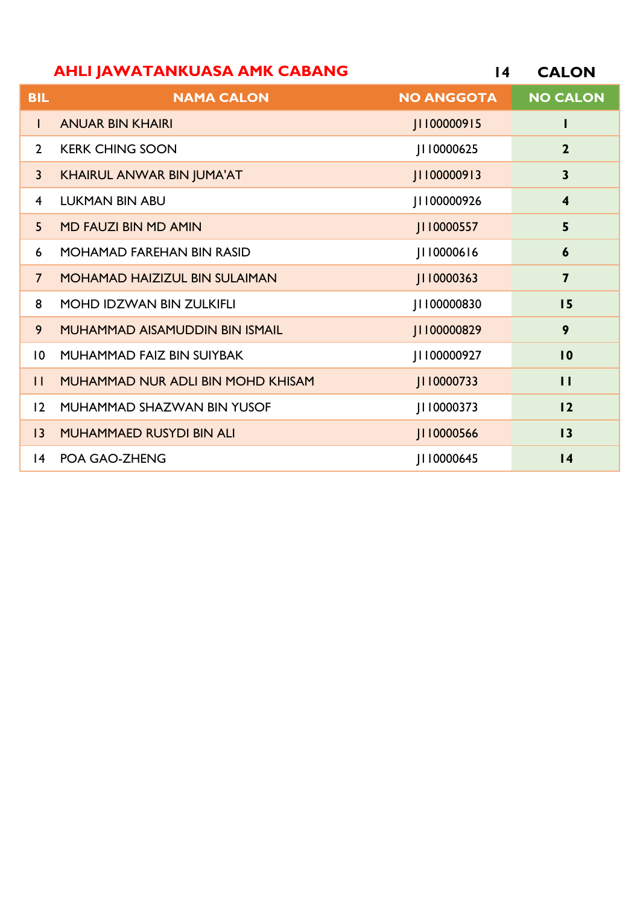|                | <b>AHLI JAWATANKUASA AMK CABANG</b>   | 14                | <b>CALON</b>            |
|----------------|---------------------------------------|-------------------|-------------------------|
| <b>BIL</b>     | <b>NAMA CALON</b>                     | <b>NO ANGGOTA</b> | <b>NO CALON</b>         |
| $\mathbf{I}$   | <b>ANUAR BIN KHAIRI</b>               | JI100000915       | L                       |
| $\overline{2}$ | <b>KERK CHING SOON</b>                | JI10000625        | $\overline{2}$          |
| $\overline{3}$ | <b>KHAIRUL ANWAR BIN JUMA'AT</b>      | JI100000913       | $\overline{\mathbf{3}}$ |
| $\overline{4}$ | <b>LUKMAN BIN ABU</b>                 | JI100000926       | $\overline{\mathbf{4}}$ |
| 5 <sup>5</sup> | <b>MD FAUZI BIN MD AMIN</b>           | JI 10000557       | 5                       |
| 6              | <b>MOHAMAD FAREHAN BIN RASID</b>      | J110000616        | $\boldsymbol{6}$        |
| $\overline{7}$ | <b>MOHAMAD HAIZIZUL BIN SULAIMAN</b>  | J110000363        | $\overline{7}$          |
| 8              | <b>MOHD IDZWAN BIN ZULKIFLI</b>       | JI100000830       | 15                      |
| 9              | <b>MUHAMMAD AISAMUDDIN BIN ISMAIL</b> | JI100000829       | 9                       |
| 10             | MUHAMMAD FAIZ BIN SUIYBAK             | J1100000927       | 10                      |
| $\mathbf{H}$   | MUHAMMAD NUR ADLI BIN MOHD KHISAM     | J110000733        | $\mathbf{1}$            |
| 12             | MUHAMMAD SHAZWAN BIN YUSOF            | 0000373           | 12                      |
| 3              | <b>MUHAMMAED RUSYDI BIN ALI</b>       | J110000566        | 13                      |
| $ 4\rangle$    | POA GAO-ZHENG                         | JI 10000645       | $\overline{14}$         |